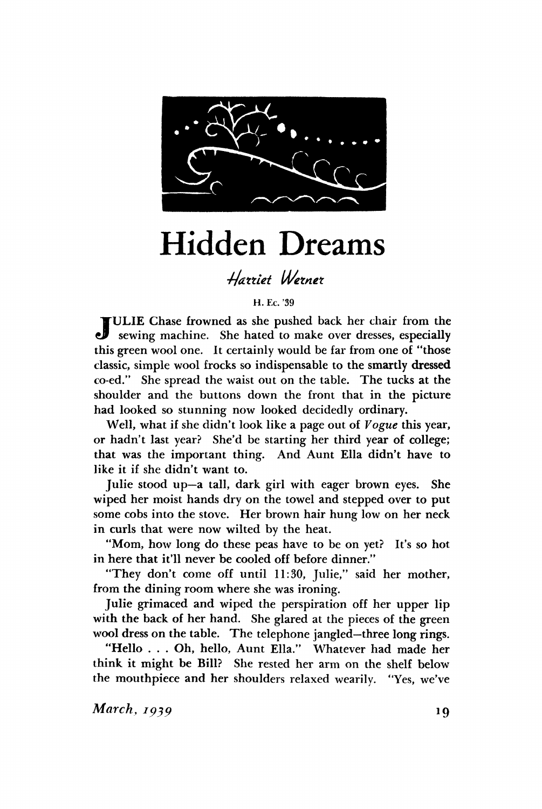

## Hidden Dreams

## *•Hdttiet Wetnet*

**H. Ec. '39** 

JULIE Chase frowned as she pushed back her chair from the sewing machine. She hated to make over dresses, especially sewing machine. She hated to make over dresses, especially this green wool one. It certainly would be far from one of "those classic, simple wool frocks so indispensable to the smartly **dressed**  co-ed/' She spread the waist out on the table. The tucks at the shoulder and the buttons down the front that in the picture had looked so stunning now looked decidedly ordinary.

Well, what if she didn't look like a page out of *Vogue* this year, or hadn't last year? She'd be starting her third year of college; that was the important thing. And Aunt Ella didn't have to like it if she didn't want to.

Julie stood up—a tall, dark girl with eager brown eyes. She wiped her moist hands dry on the towel and stepped over to put some cobs into the stove. Her brown hair hung low on her neck in curls that were now wilted by the heat.

"Mom, how long do these peas have to be on yet? It's so hot in here that it'll never be cooled off before dinner."

"They don't come off until 11:30, Julie," said her mother, from the dining room where she was ironing.

Julie grimaced and wiped the perspiration off her upper lip with the back of her hand. She glared at the pieces of the green wool dress on the table. The telephone jangled—three long rings.

"Hello . . . Oh, hello, Aunt Ella." Whatever had made her think it might be Bill? She rested her arm on the shelf below the mouthpiece and her shoulders relaxed wearily. "Yes, we've

*March, 1939* **19**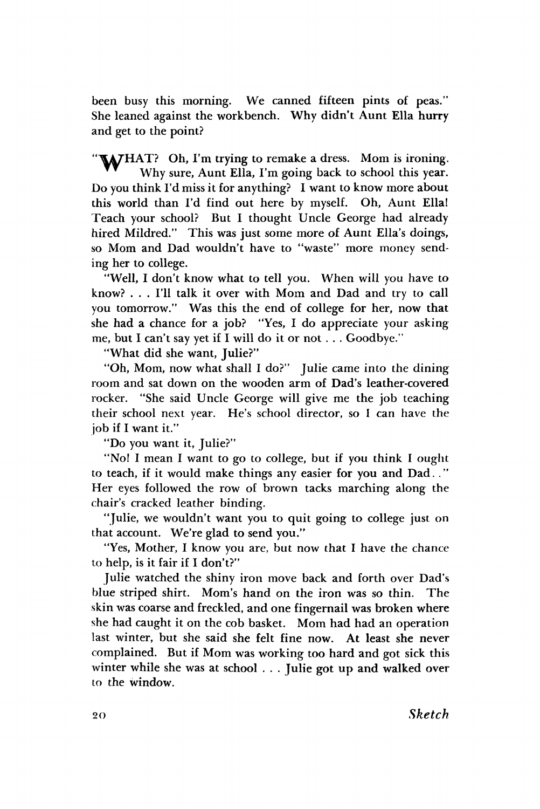been busy this morning. We canned fifteen pints of peas." She leaned against the workbench. Why didn't Aunt Ella hurry and get to the point?

WAJHAT? Oh, I'm trying to remake a dress. Mom is ironing. Why sure, Aunt Ella, I'm going back to school this year. Do you think I'd miss it for anything? I want to know more about this world than I'd find out here by myself. Oh, Aunt Ella! Teach your school? But I thought Uncle George had already hired Mildred." This was just some more of Aunt Ella's doings, so Mom and Dad wouldn't have to "waste" more money sending her to college.

"Well, I don't know what to tell you. When will you have to know? . . . I'll talk it over with Mom and Dad and try to call you tomorrow." Was this the end of college for her, now that she had a chance for a job? "Yes, I do appreciate your asking me, but I can't say yet if I will do it or not . . . Goodbye."

"What did she want, Julie?"

"Oh, Mom, now what shall I do?" Julie came into the dining room and sat down on the wooden arm of Dad's leather-covered rocker. "She said Uncle George will give me the job teaching their school next year. He's school director, so I can have the job if I want it."

"Do you want it, Julie?"

"No! I mean I want to go to college, but if you think I ought to teach, if it would make things any easier for you and Dad. ." Her eyes followed the row of brown tacks marching along the chair's cracked leather binding.

"Julie, we wouldn't want you to quit going to college just on that account. We're glad to send you."

"Yes, Mother, I know you are, but now that I have the chance to help, is it fair if I don't?"

Julie watched the shiny iron move back and forth over Dad's blue striped shirt. Mom's hand on the iron was so thin. The skin was coarse and freckled, and one fingernail was broken where she had caught it on the cob basket. Mom had had an operation last winter, but she said she felt fine now. At least she never complained. But if Mom was working too hard and got sick this winter while she was at school . . . Julie got up and walked over to the window.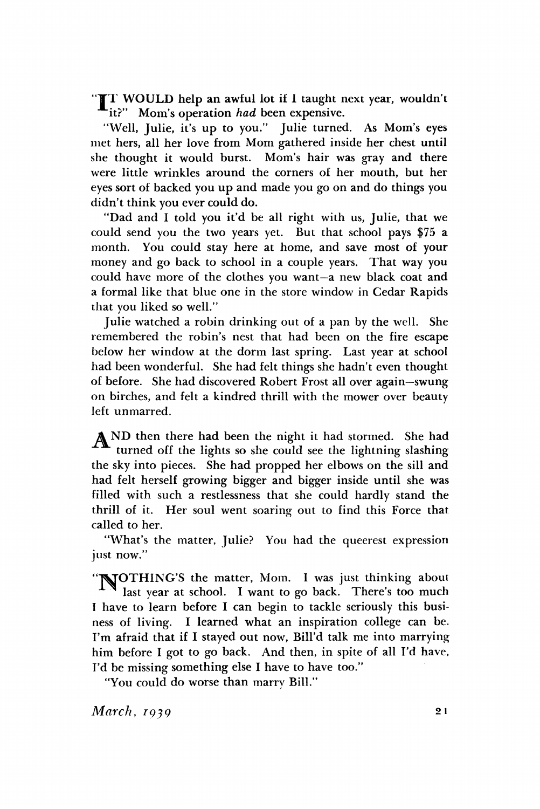"IT WOULD help an awful lot if I taught next year, wouldn't it?" Mom's operation *had* been expensive.

"Well, Julie, it's up to you." Julie turned. As Mom's eyes met hers, all her love from Mom gathered inside her chest until she thought it would burst. Mom's hair was gray and there were little wrinkles around the corners of her mouth, but her eyes sort of backed you up and made you go on and do things you didn't think you ever could do.

"Dad and I told you it'd be all right with us, Julie, that we could send you the two years yet. But that school pays \$75 a month. You could stay here at home, and save most of your money and go back to school in a couple years. That way you could have more of the clothes you want—a new black coat and a formal like that blue one in the store window in Cedar Rapids that you liked so well."

Julie watched a robin drinking out of a pan by the well. She remembered the robin's nest that had been on the fire escape below her window at the dorm last spring. Last year at school had been wonderful. She had felt things she hadn't even thought of before. She had discovered Robert Frost all over again—swung on birches, and felt a kindred thrill with the mower over beauty left unmarred.

AND then there had been the night it had stormed. She had turned off the lights so she could see the lightning slashing the sky into pieces. She had propped her elbows on the sill and had felt herself growing bigger and bigger inside until she was filled with such a restlessness that she could hardly stand the thrill of it. Her soul went soaring out to find this Force that called to her.

"What's the matter, Julie? You had the queerest expression just now."

"TVTOTHING'S the matter, Mom. I was just thinking about last year at school. I want to go back. There's too much I have to learn before I can begin to tackle seriously this business of living. I learned what an inspiration college can be. I'm afraid that if I stayed out now, Bill'd talk me into marrying him before I got to go back. And then, in spite of all I'd have, I'd be missing something else I have to have too."

"You could do worse than marry Bill."

*March, 1939* **2 1**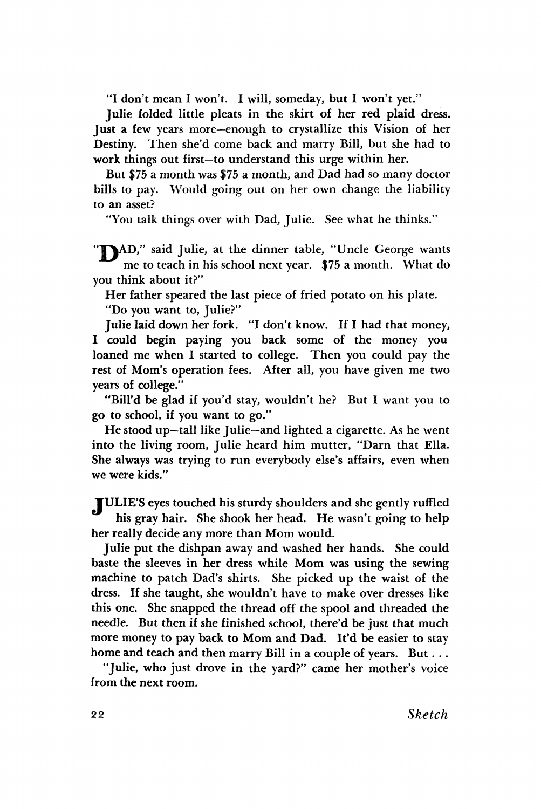**"I don't mean I won't. I will, someday, but I won't yet."** 

**Julie folded little pleats in the skirt of her red plaid dress. Just a few years more—enough to crystallize this Vision of her Destiny. Then she'd come back and marry Bill, but she had to work things out first—to understand this urge within her.** 

**But \$75 a month was \$75 a month, and Dad had so many doctor bills to pay. Would going out on her own change the liability to an asset?** 

**"You talk things over with Dad, Julie. See what he thinks."** 

"TAD," said Julie, at the dinner table, "Uncle George wants **me to teach in his school next year. \$75 a month. What do you think about it?"** 

**Her father speared the last piece of fried potato on his plate.** 

**"Do you want to, Julie?"** 

**Julie laid down her fork. "I don't know. If I had that money, I could begin paying you back some of the money you loaned me when I started to college. Then you could pay the rest of Mom's operation fees. After all, you have given me two years of college."** 

**"Bill'd be glad if you'd stay, wouldn't he? But I want you to go to school, if you want to go."** 

**He stood up—tall like Julie—and lighted a cigarette. As he went into the living room, Julie heard him mutter, "Darn that Ella. She always was trying to run everybody else's affairs, even when we were kids."** 

**YULIE'S eyes touched his sturdy shoulders and she gently ruffled his gray hair. She shook her head. He wasn't going to help her really decide any more than Mom would.** 

**Julie put the dishpan away and washed her hands. She could baste the sleeves in her dress while Mom was using the sewing machine to patch Dad's shirts. She picked up the waist of the dress. If she taught, she wouldn't have to make over dresses like this one. She snapped the thread off the spool and threaded the needle. But then if she finished school, there'd be just that much more money to pay back to Mom and Dad. It'd be easier to stay home and teach and then marry Bill in a couple of years. But. ..** 

**"Julie, who just drove in the yard?" came her mother's voice from the next room.**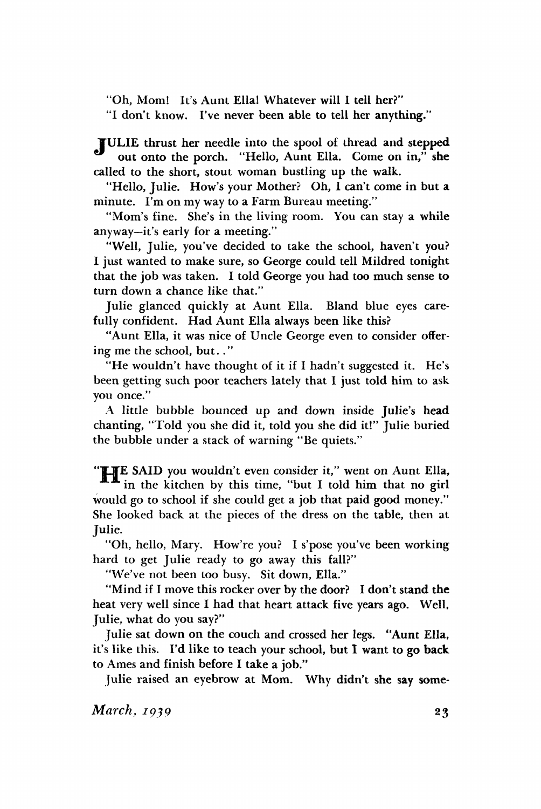"Oh, Mom! It's Aunt Ella! Whatever will I tell her?"

"I don't know. I've never been able to tell her anything."

¥ULIE thrust her needle into the spool of thread and stepped out onto the porch. "Hello, Aunt Ella. Come on in," she called to the short, stout woman bustling up the walk.

"Hello, Julie. How's your Mother? Oh, I can't come in but a minute. I'm on my way to a Farm Bureau meeting."

"Mom's fine. She's in the living room. You can stay a while anyway—it's early for a meeting."

"Well, Julie, you've decided to take the school, haven't you? I just wanted to make sure, so George could tell Mildred tonight that the job was taken. I told George you had too much sense to turn down a chance like that."

Julie glanced quickly at Aunt Ella. Bland blue eyes carefully confident. Had Aunt Ella always been like this?

"Aunt Ella, it was nice of Uncle George even to consider offering me the school, but.. "

"He wouldn't have thought of it if I hadn't suggested it. He's been getting such poor teachers lately that I just told him to ask you once."

A little bubble bounced up and down inside Julie's head chanting, "Told you she did it, told you she did it!" Julie buried the bubble under a stack of warning "Be quiets."

**"TLJE** SAID you wouldn't even consider it," went on Aunt Ella, in the kitchen by this time, "but I told him that no girl would go to school if she could get a job that paid good money." She looked back at the pieces of the dress on the table, then at Julie.

"Oh, hello, Mary. How're you? I s'pose you've been working hard to get Julie ready to go away this fall?"

"We've not been too busy. Sit down, Ella."

"Mind if I move this rocker over by the door? I don't stand the heat very well since I had that heart attack five years ago. Well, Julie, what do you say?"

Julie sat down on the couch and crossed her legs. "Aunt Ella, it's like this. I'd like to teach your school, but I want to go **back**  to Ames and finish before I take a job."

Julie raised an eyebrow at Mom. Why didn't she say *some-*

*March, 1939* **23**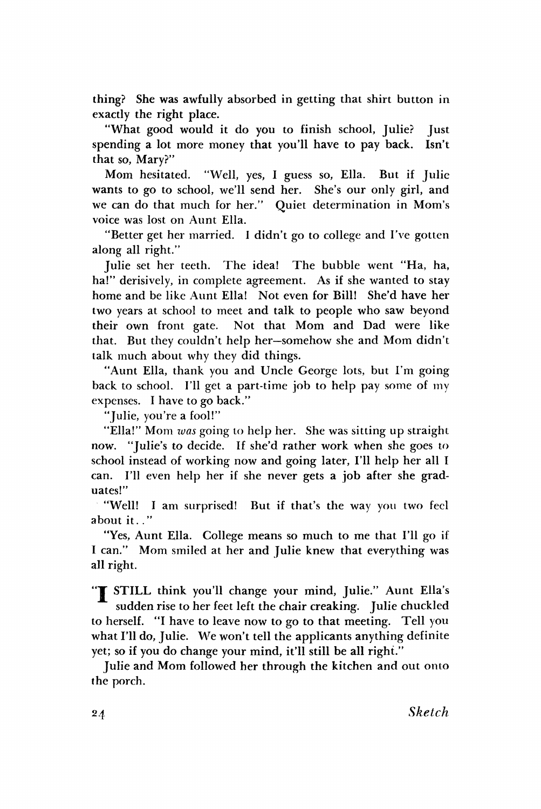thing? She was awfully absorbed in getting that shirt button in exactly the right place.

"What good would it do you to finish school, Julie? Just spending a lot more money that you'll have to pay back. Isn't that so, Mary?"

Mom hesitated. "Well, yes, I guess so, Ella. But if Julie wants to go to school, we'll send her. She's our only girl, and we can do that much for her." Quiet determination in Mom's voice was lost on Aunt Ella.

"Better get her married. I didn't go to college and I've gotten along all right."

Julie set her teeth. The idea! The bubble went "Ha, ha, ha!" derisively, in complete agreement. As if she wanted to stay home and be like Aunt Ella! Not even for Bill! She'd have her two years at school to meet and talk to people who saw beyond their own front gate. Not that Mom and Dad were like that. But they couldn't help her—somehow she and Mom didn't talk much about why they did things.

"Aunt Ella, thank you and Uncle George lots, but I'm going back to school. I'll get a part-time job to help pay some of my expenses. I have to go back."

"Julie, you're a fool!"

"Ella!" Mom *was* going to help her. She was sitting up straight *now.* "Julie's to decide. If she'd rather work when she goes to school instead of working now and going later, I'll help her all I can. I'll even help her if she never gets a job after she graduates!"

"Well! I am surprised! But if that's the way you two feel about it. ."

"Yes, Aunt Ella. College means so much to me that I'll go if I can." Mom smiled at her and Julie knew that everything was all right.

"T STILL think you'll change your mind, Julie." Aunt Ella's sudden rise to her feet left the chair creaking. Julie chuckled to herself. "I have to leave now to go to that meeting. Tell you what I'll do, Julie. We won't tell the applicants anything definite yet; so if you do change your mind, it'll still be all right."

Julie and Mom followed her through the kitchen and out onto the porch.